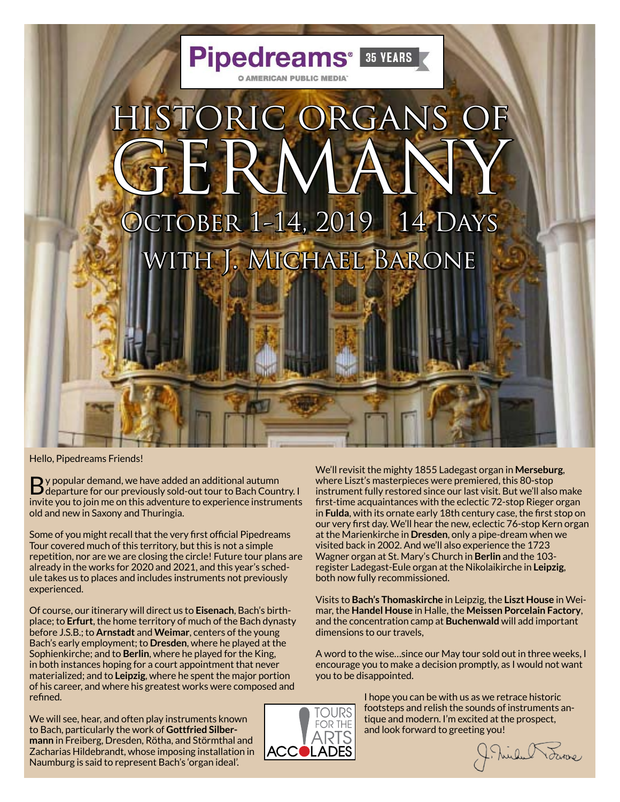

Hello, Pipedreams Friends!

By popular demand, we have added an additional autumn departure for our previously sold-out tour to Bach Country. I invite you to join me on this adventure to experience instruments old and new in Saxony and Thuringia.

Some of you might recall that the very first official Pipedreams Tour covered much of this territory, but this is not a simple repetition, nor are we are closing the circle! Future tour plans are already in the works for 2020 and 2021, and this year's schedule takes us to places and includes instruments not previously experienced.

Of course, our itinerary will direct us to **Eisenach**, Bach's birthplace; to **Erfurt**, the home territory of much of the Bach dynasty before J.S.B.; to **Arnstadt** and **Weimar**, centers of the young Bach's early employment; to **Dresden**, where he played at the Sophienkirche; and to **Berlin**, where he played for the King, in both instances hoping for a court appointment that never materialized; and to **Leipzig**, where he spent the major portion of his career, and where his greatest works were composed and refined.

We will see, hear, and often play instruments known to Bach, particularly the work of **Gottfried Silbermann** in Freiberg, Dresden, Rötha, and Störmthal and Zacharias Hildebrandt, whose imposing installation in Naumburg is said to represent Bach's 'organ ideal'.

We'll revisit the mighty 1855 Ladegast organ in **Merseburg**, where Liszt's masterpieces were premiered, this 80-stop instrument fully restored since our last visit. But we'll also make first-time acquaintances with the eclectic 72-stop Rieger organ in **Fulda**, with its ornate early 18th century case, the first stop on our very first day. We'll hear the new, eclectic 76-stop Kern organ at the Marienkirche in **Dresden**, only a pipe-dream when we visited back in 2002. And we'll also experience the 1723 Wagner organ at St. Mary's Church in **Berlin** and the 103 register Ladegast-Eule organ at the Nikolaikirche in **Leipzig**, both now fully recommissioned.

Visits to **Bach's Thomaskirche** in Leipzig, the **Liszt House** in Weimar, the **Handel House** in Halle, the **Meissen Porcelain Factory**, and the concentration camp at **Buchenwald** will add important dimensions to our travels,

A word to the wise…since our May tour sold out in three weeks, I encourage you to make a decision promptly, as I would not want you to be disappointed.



I hope you can be with us as we retrace historic footsteps and relish the sounds of instruments antique and modern. I'm excited at the prospect, and look forward to greeting you!

J. mille Towne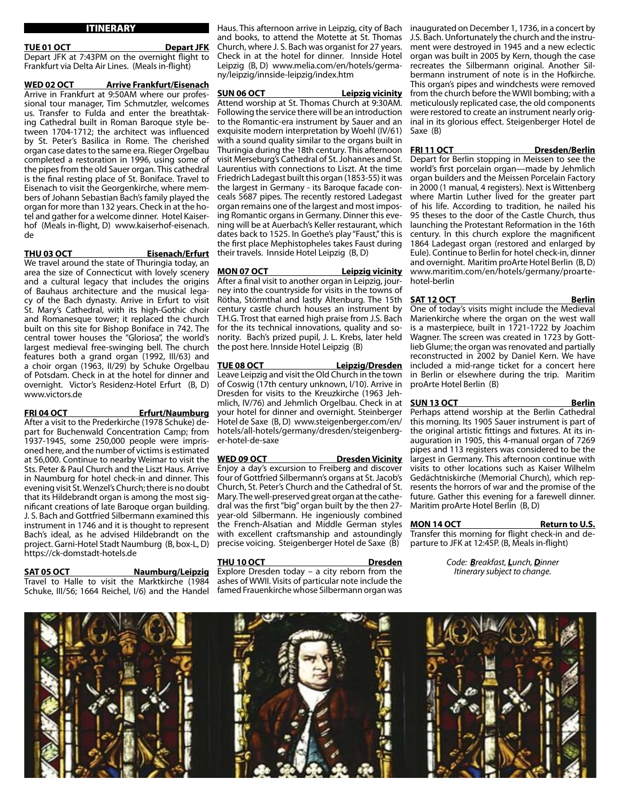# ITINERARY

### **TUE 01 OCT Depart JFK**

Depart JFK at 7:43PM on the overnight flight to Frankfurt via Delta Air Lines. (Meals in-flight)

**WED 02 OCT Arrive Frankfurt/Eisenach** Arrive in Frankfurt at 9:50AM where our professional tour manager, Tim Schmutzler, welcomes us. Transfer to Fulda and enter the breathtaking Cathedral built in Roman Baroque style between 1704-1712; the architect was influenced by St. Peter's Basilica in Rome. The cherished organ case dates to the same era. Rieger Orgelbau completed a restoration in 1996, using some of the pipes from the old Sauer organ. This cathedral is the final resting place of St. Boniface. Travel to Eisenach to visit the Georgenkirche, where members of Johann Sebastian Bach's family played the organ for more than 132 years. Check in at the hotel and gather for a welcome dinner. Hotel Kaiserhof (Meals in-flight, D) www.kaiserhof-eisenach. de

**THU 03 OCT Eisenach/Erfurt** 

We travel around the state of Thuringia today, an area the size of Connecticut with lovely scenery and a cultural legacy that includes the origins of Bauhaus architecture and the musical legacy of the Bach dynasty. Arrive in Erfurt to visit St. Mary's Cathedral, with its high-Gothic choir and Romanesque tower; it replaced the church built on this site for Bishop Boniface in 742. The central tower houses the "Gloriosa", the world's largest medieval free-swinging bell. The church features both a grand organ (1992, III/63) and a choir organ (1963, II/29) by Schuke Orgelbau of Potsdam. Check in at the hotel for dinner and overnight. Victor's Residenz-Hotel Erfurt (B, D) www.victors.de

**FRI 04 OCT Erfurt/Naumburg**  After a visit to the Prederkirche (1978 Schuke) depart for Buchenwald Concentration Camp; from

1937-1945, some 250,000 people were imprisoned here, and the number of victims is estimated at 56,000. Continue to nearby Weimar to visit the Sts. Peter & Paul Church and the Liszt Haus. Arrive in Naumburg for hotel check-in and dinner. This evening visit St. Wenzel's Church; there is no doubt that its Hildebrandt organ is among the most significant creations of late Baroque organ building. J. S. Bach and Gottfried Silbermann examined this instrument in 1746 and it is thought to represent Bach's ideal, as he advised Hildebrandt on the project. Garni-Hotel Stadt Naumburg (B, box-L, D) https://ck-domstadt-hotels.de

### SAT 05 OCT Naumburg/Leipzig

Travel to Halle to visit the Marktkirche (1984 Schuke, III/56; 1664 Reichel, I/6) and the Handel

Haus. This afternoon arrive in Leipzig, city of Bach and books, to attend the Motette at St. Thomas Church, where J. S. Bach was organist for 27 years. Check in at the hotel for dinner. Innside Hotel Leipzig (B, D) www.melia.com/en/hotels/germany/leipzig/innside-leipzig/index.htm

**SUN 06 OCT Leipzig vicinity**

Attend worship at St. Thomas Church at 9:30AM. Following the service there will be an introduction to the Romantic-era instrument by Sauer and an exquisite modern interpretation by Woehl (IV/61) with a sound quality similar to the organs built in Thuringia during the 18th century. This afternoon visit Merseburg's Cathedral of St. Johannes and St. Laurentius with connections to Liszt. At the time Friedrich Ladegast built this organ (1853-55) it was the largest in Germany - its Baroque facade conceals 5687 pipes. The recently restored Ladegast organ remains one of the largest and most imposing Romantic organs in Germany. Dinner this evening will be at Auerbach's Keller restaurant, which dates back to 1525. In Goethe's play "Faust," this is the first place Mephistopheles takes Faust during their travels. Innside Hotel Leipzig (B, D)

**MON 07 OCT Leipzig vicinity** After a final visit to another organ in Leipzig, journey into the countryside for visits in the towns of Rötha, Störmthal and lastly Altenburg. The 15th century castle church houses an instrument by T.H.G. Trost that earned high praise from J.S. Bach for the its technical innovations, quality and sonority. Bach's prized pupil, J. L. Krebs, later held the post here. Innside Hotel Leipzig (B)

**TUE 08 OCT Leipzig/Dresden** Leave Leipzig and visit the Old Church in the town of Coswig (17th century unknown, I/10). Arrive in Dresden for visits to the Kreuzkirche (1963 Jehmlich, IV/76) and Jehmlich Orgelbau. Check in at your hotel for dinner and overnight. Steinberger Hotel de Saxe (B, D) www.steigenberger.com/en/ hotels/all-hotels/germany/dresden/steigenberger-hotel-de-saxe

### WED 09 OCT Dresden Vicinity

Enjoy a day's excursion to Freiberg and discover four of Gottfried Silbermann's organs at St. Jacob's Church, St. Peter's Church and the Cathedral of St. Mary. The well-preserved great organ at the cathedral was the first "big" organ built by the then 27 year-old Silbermann. He ingeniously combined the French-Alsatian and Middle German styles with excellent craftsmanship and astoundingly precise voicing. Steigenberger Hotel de Saxe (B)

**THU 10 OCT Dresden** Explore Dresden today – a city reborn from the ashes of WWII. Visits of particular note include the famed Frauenkirche whose Silbermann organ was

inaugurated on December 1, 1736, in a concert by J.S. Bach. Unfortunately the church and the instrument were destroyed in 1945 and a new eclectic organ was built in 2005 by Kern, though the case recreates the Silbermann original. Another Silbermann instrument of note is in the Hofkirche. This organ's pipes and windchests were removed from the church before the WWII bombing; with a meticulously replicated case, the old components were restored to create an instrument nearly original in its glorious effect. Steigenberger Hotel de Saxe (B)

FRI 11 OCT Dresden/Berlin

Depart for Berlin stopping in Meissen to see the world's first porcelain organ—made by Jehmlich organ builders and the Meissen Porcelain Factory in 2000 (1 manual, 4 registers). Next is Wittenberg where Martin Luther lived for the greater part of his life. According to tradition, he nailed his 95 theses to the door of the Castle Church, thus launching the Protestant Reformation in the 16th century. In this church explore the magnificent 1864 Ladegast organ (restored and enlarged by Eule). Continue to Berlin for hotel check-in, dinner and overnight. Maritim proArte Hotel Berlin (B, D) www.maritim.com/en/hotels/germany/proartehotel-berlin

### SAT 12 OCT Berlin

One of today's visits might include the Medieval Marienkirche where the organ on the west wall is a masterpiece, built in 1721-1722 by Joachim Wagner. The screen was created in 1723 by Gottlieb Glume; the organ was renovated and partially reconstructed in 2002 by Daniel Kern. We have included a mid-range ticket for a concert here in Berlin or elsewhere during the trip. Maritim proArte Hotel Berlin (B)

**SUN 13 OCT** Berlin Perhaps attend worship at the Berlin Cathedral this morning. Its 1905 Sauer instrument is part of the original artistic fittings and fixtures. At its inauguration in 1905, this 4-manual organ of 7269 pipes and 113 registers was considered to be the largest in Germany. This afternoon continue with visits to other locations such as Kaiser Wilhelm Gedächtniskirche (Memorial Church), which represents the horrors of war and the promise of the future. Gather this evening for a farewell dinner. Maritim proArte Hotel Berlin (B, D)

**MON 14 OCT** Return to U.S. Transfer this morning for flight check-in and departure to JFK at 12:45P. (B, Meals in-flight)

> *Code: Breakfast, Lunch, Dinner Itinerary subject to change.*

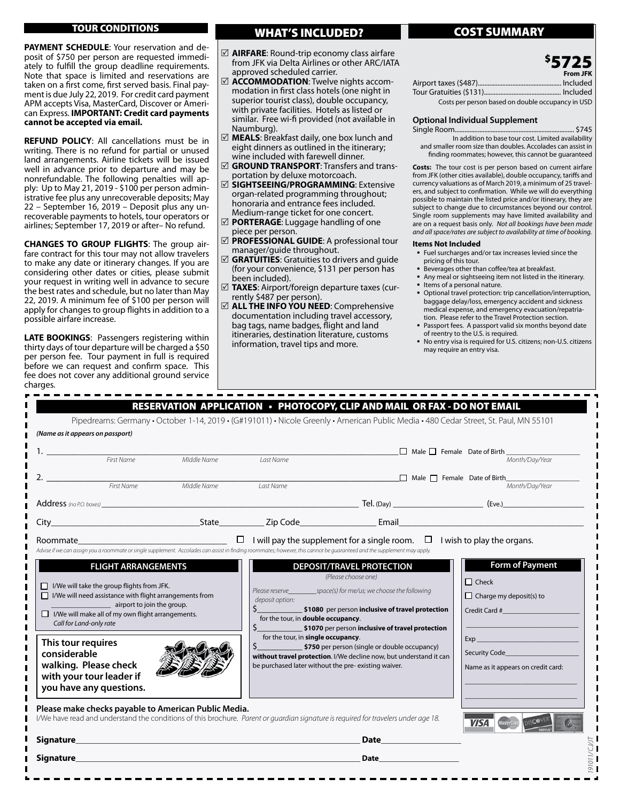# TOUR CONDITIONS

**PAYMENT SCHEDULE**: Your reservation and deposit of \$750 per person are requested immediately to fulfill the group deadline requirements. Note that space is limited and reservations are taken on a first come, first served basis. Final payment is due July 22, 2019. For credit card payment APM accepts Visa, MasterCard, Discover or American Express. **IMPORTANT: Credit card payments cannot be accepted via email.**

**REFUND POLICY**: All cancellations must be in writing. There is no refund for partial or unused land arrangements. Airline tickets will be issued well in advance prior to departure and may be nonrefundable. The following penalties will apply: Up to May 21, 2019 - \$100 per person administrative fee plus any unrecoverable deposits; May 22 – September 16, 2019 – Deposit plus any unrecoverable payments to hotels, tour operators or airlines; September 17, 2019 or after– No refund.

**CHANGES TO GROUP FLIGHTS**: The group airfare contract for this tour may not allow travelers to make any date or itinerary changes. If you are considering other dates or cities, please submit your request in writing well in advance to secure the best rates and schedule, but no later than May 22, 2019. A minimum fee of \$100 per person will apply for changes to group flights in addition to a possible airfare increase.

**LATE BOOKINGS**: Passengers registering within thirty days of tour departure will be charged a \$50 per person fee. Tour payment in full is required before we can request and confirm space. This fee does not cover any additional ground service charges.

# WHAT'S INCLUDED? **The COST SUMMARY**

- 5 **AIRFARE**: Round-trip economy class airfare from JFK via Delta Airlines or other ARC/IATA approved scheduled carrier.
- 5 **ACCOMMODATION**: Twelve nights accommodation in first class hotels (one night in superior tourist class), double occupancy, with private facilities. Hotels as listed or similar. Free wi-fi provided (not available in Naumburg).
- 5 **MEALS**: Breakfast daily, one box lunch and eight dinners as outlined in the itinerary; wine included with farewell dinner.
- 5 **GROUND TRANSPORT**: Transfers and transportation by deluxe motorcoach.
- 5 **SIGHTSEEING/PROGRAMMING**: Extensive organ-related programming throughout; honoraria and entrance fees included. Medium-range ticket for one concert.
- 5 **PORTERAGE**: Luggage handling of one piece per person.
- 5 **PROFESSIONAL GUIDE**: A professional tour manager/guide throughout.
- $\boxtimes$  **GRATUITIES**: Gratuities to drivers and quide (for your convenience, \$131 per person has been included).
- 5 **TAXES**: Airport/foreign departure taxes (currently \$487 per person).
- 5 **ALL THE INFO YOU NEED**: Comprehensive documentation including travel accessory, bag tags, name badges, flight and land itineraries, destination literature, customs information, travel tips and more.

|                                                   | <b>From JFK</b> |
|---------------------------------------------------|-----------------|
|                                                   |                 |
|                                                   |                 |
| Costs per person based on double occupancy in USD |                 |

\$ 5725

# **Optional Individual Supplement**

Single Room......................................................................... \$745 In addition to base tour cost. Limited availability and smaller room size than doubles. Accolades can assist in finding roommates; however, this cannot be guaranteed

**Costs:** The tour cost is per person based on current airfare from JFK (other cities available), double occupancy, tariffs and currency valuations as of March 2019, a minimum of 25 travelers, and subject to confirmation. While we will do everything possible to maintain the listed price and/or itinerary, they are subject to change due to circumstances beyond our control. Single room supplements may have limited availability and are on a request basis only. *Not all bookings have been made and all space/rates are subject to availability at time of booking.*

### **Items Not Included**

- Fuel surcharges and/or tax increases levied since the pricing of this tour.
- Beverages other than coffee/tea at breakfast.
- Any meal or sightseeing item not listed in the itinerary.
- Items of a personal nature.
- Optional travel protection: trip cancellation/interruption, baggage delay/loss, emergency accident and sickness medical expense, and emergency evacuation/repatriation. Please refer to the Travel Protection section.
- Passport fees. A passport valid six months beyond date of reentry to the U.S. is required.
- No entry visa is required for U.S. citizens; non-U.S. citizens may require an entry visa.

|                                                                                                                                                                                                                                                                                                                                                                                                                                                                                                                                                                                                                         |                        |                                                                                                                                         | RESERVATION APPLICATION • PHOTOCOPY, CLIP AND MAIL OR FAX - DO NOT EMAIL                                                                                                                                                                             | Pipedreams: Germany · October 1-14, 2019 · (G#191011) · Nicole Greenly · American Public Media · 480 Cedar Street, St. Paul, MN 55101 |
|-------------------------------------------------------------------------------------------------------------------------------------------------------------------------------------------------------------------------------------------------------------------------------------------------------------------------------------------------------------------------------------------------------------------------------------------------------------------------------------------------------------------------------------------------------------------------------------------------------------------------|------------------------|-----------------------------------------------------------------------------------------------------------------------------------------|------------------------------------------------------------------------------------------------------------------------------------------------------------------------------------------------------------------------------------------------------|---------------------------------------------------------------------------------------------------------------------------------------|
| (Name as it appears on passport)                                                                                                                                                                                                                                                                                                                                                                                                                                                                                                                                                                                        |                        |                                                                                                                                         |                                                                                                                                                                                                                                                      |                                                                                                                                       |
|                                                                                                                                                                                                                                                                                                                                                                                                                                                                                                                                                                                                                         | Middle Name            | Last Name                                                                                                                               |                                                                                                                                                                                                                                                      | Male Female Date of Birth<br>Month/Day/Year                                                                                           |
| 2. $\frac{1}{2}$                                                                                                                                                                                                                                                                                                                                                                                                                                                                                                                                                                                                        | First Name Middle Name | Last Name                                                                                                                               |                                                                                                                                                                                                                                                      | $\Box$ Male $\Box$ Female Date of Birth<br>Month/Dav/Year                                                                             |
|                                                                                                                                                                                                                                                                                                                                                                                                                                                                                                                                                                                                                         |                        |                                                                                                                                         |                                                                                                                                                                                                                                                      |                                                                                                                                       |
|                                                                                                                                                                                                                                                                                                                                                                                                                                                                                                                                                                                                                         |                        |                                                                                                                                         |                                                                                                                                                                                                                                                      |                                                                                                                                       |
| $\Box$ I/We will take the group flights from JFK.<br>$\Box$ I/We will need assistance with flight arrangements from<br>airport to join the group.                                                                                                                                                                                                                                                                                                                                                                                                                                                                       |                        | deposit option:                                                                                                                         | (Please choose one)                                                                                                                                                                                                                                  | $\Box$ Check<br>$\Box$ Charge my deposit(s) to                                                                                        |
| Call for Land-only rate                                                                                                                                                                                                                                                                                                                                                                                                                                                                                                                                                                                                 |                        | for the tour, in <b>double occupancy</b> .<br>for the tour, in single occupancy.<br>be purchased later without the pre-existing waiver. | \$______________________ \$1080 per person inclusive of travel protection<br>\$1070 per person inclusive of travel protection<br>\$750 per person (single or double occupancy)<br>without travel protection. I/We decline now, but understand it can | Credit Card # 2009 2009<br>Security Code <b>Security</b> Code<br>Name as it appears on credit card:                                   |
|                                                                                                                                                                                                                                                                                                                                                                                                                                                                                                                                                                                                                         |                        |                                                                                                                                         |                                                                                                                                                                                                                                                      | <b>VISA</b>                                                                                                                           |
| $\Box$ I/We will make all of my own flight arrangements.<br>This tour requires<br>considerable<br>walking. Please check<br>with your tour leader if<br>you have any questions.<br>Please make checks payable to American Public Media.<br>I/We have read and understand the conditions of this brochure. Parent or quardian signature is required for travelers under age 18.<br><b>Signature Signature <i>Contract Contract Contract Contract Contract Contract Contract Contract Contract Contract Contract Contract Contract Contract Contract Contract Contract Contract Contract Contract Contract Contrac</i></b> |                        |                                                                                                                                         | Date and the state of the state of the state of the state of the state of the state of the state of the state                                                                                                                                        |                                                                                                                                       |